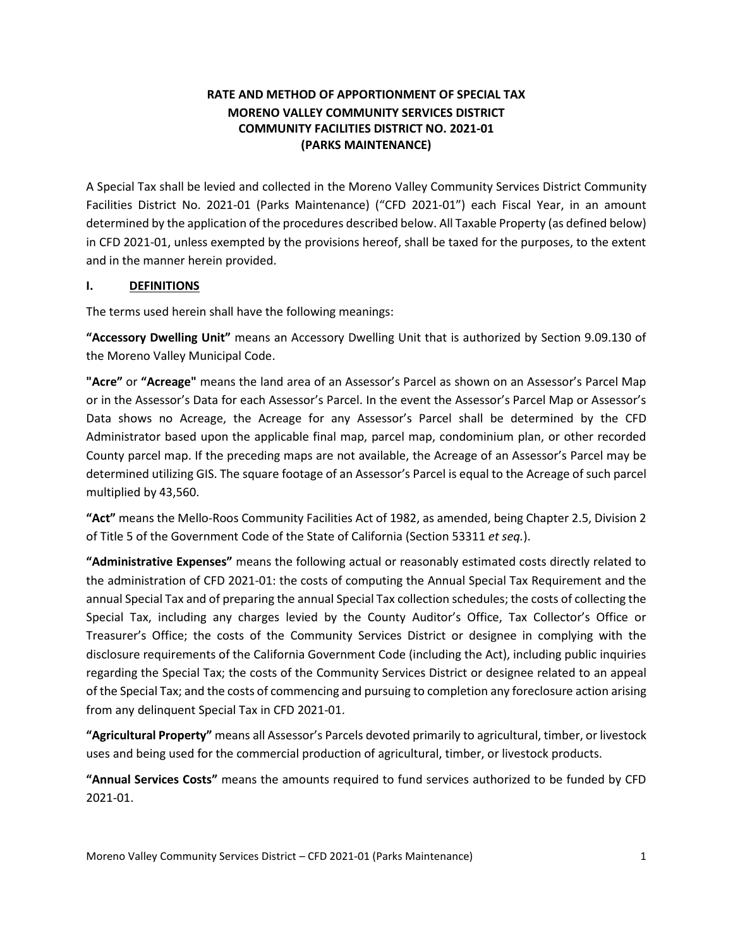# **RATE AND METHOD OF APPORTIONMENT OF SPECIAL TAX MORENO VALLEY COMMUNITY SERVICES DISTRICT COMMUNITY FACILITIES DISTRICT NO. 2021-01 (PARKS MAINTENANCE)**

A Special Tax shall be levied and collected in the Moreno Valley Community Services District Community Facilities District No. 2021-01 (Parks Maintenance) ("CFD 2021-01") each Fiscal Year, in an amount determined by the application of the procedures described below. All Taxable Property (as defined below) in CFD 2021-01, unless exempted by the provisions hereof, shall be taxed for the purposes, to the extent and in the manner herein provided.

### **I. DEFINITIONS**

The terms used herein shall have the following meanings:

**"Accessory Dwelling Unit"** means an Accessory Dwelling Unit that is authorized by Section 9.09.130 of the Moreno Valley Municipal Code.

**"Acre"** or **"Acreage"** means the land area of an Assessor's Parcel as shown on an Assessor's Parcel Map or in the Assessor's Data for each Assessor's Parcel. In the event the Assessor's Parcel Map or Assessor's Data shows no Acreage, the Acreage for any Assessor's Parcel shall be determined by the CFD Administrator based upon the applicable final map, parcel map, condominium plan, or other recorded County parcel map. If the preceding maps are not available, the Acreage of an Assessor's Parcel may be determined utilizing GIS. The square footage of an Assessor's Parcel is equal to the Acreage of such parcel multiplied by 43,560.

**"Act"** means the Mello-Roos Community Facilities Act of 1982, as amended, being Chapter 2.5, Division 2 of Title 5 of the Government Code of the State of California (Section 53311 *et seq.*).

**"Administrative Expenses"** means the following actual or reasonably estimated costs directly related to the administration of CFD 2021-01: the costs of computing the Annual Special Tax Requirement and the annual Special Tax and of preparing the annual Special Tax collection schedules; the costs of collecting the Special Tax, including any charges levied by the County Auditor's Office, Tax Collector's Office or Treasurer's Office; the costs of the Community Services District or designee in complying with the disclosure requirements of the California Government Code (including the Act), including public inquiries regarding the Special Tax; the costs of the Community Services District or designee related to an appeal of the Special Tax; and the costs of commencing and pursuing to completion any foreclosure action arising from any delinquent Special Tax in CFD 2021-01.

**"Agricultural Property"** means all Assessor's Parcels devoted primarily to agricultural, timber, or livestock uses and being used for the commercial production of agricultural, timber, or livestock products.

**"Annual Services Costs"** means the amounts required to fund services authorized to be funded by CFD 2021-01.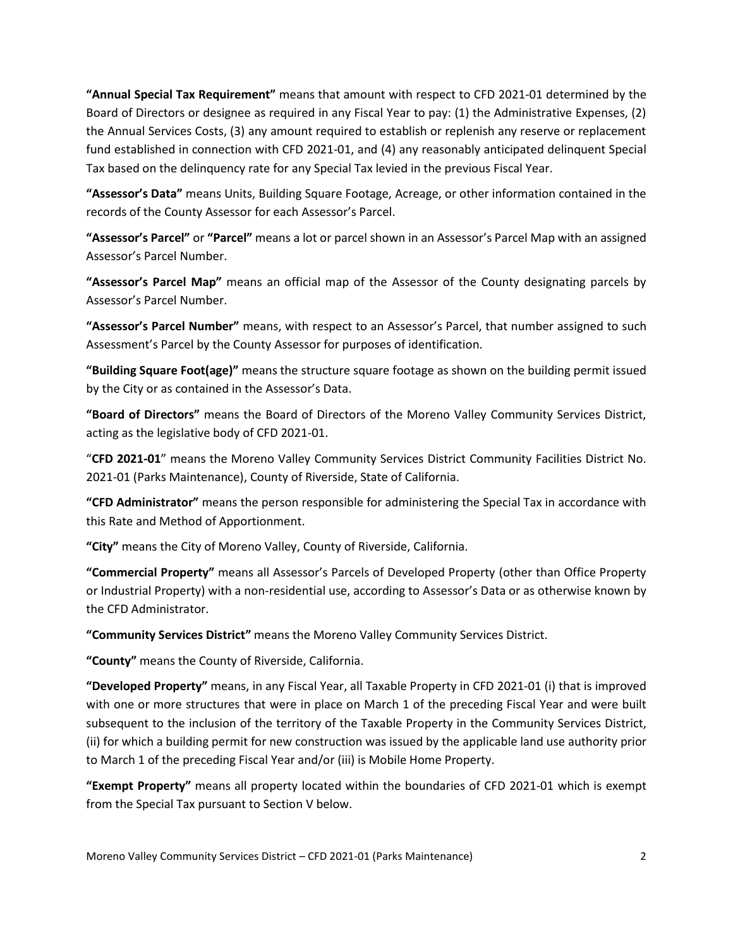**"Annual Special Tax Requirement"** means that amount with respect to CFD 2021-01 determined by the Board of Directors or designee as required in any Fiscal Year to pay: (1) the Administrative Expenses, (2) the Annual Services Costs, (3) any amount required to establish or replenish any reserve or replacement fund established in connection with CFD 2021-01, and (4) any reasonably anticipated delinquent Special Tax based on the delinquency rate for any Special Tax levied in the previous Fiscal Year.

**"Assessor's Data"** means Units, Building Square Footage, Acreage, or other information contained in the records of the County Assessor for each Assessor's Parcel.

**"Assessor's Parcel"** or **"Parcel"** means a lot or parcel shown in an Assessor's Parcel Map with an assigned Assessor's Parcel Number.

**"Assessor's Parcel Map"** means an official map of the Assessor of the County designating parcels by Assessor's Parcel Number.

**"Assessor's Parcel Number"** means, with respect to an Assessor's Parcel, that number assigned to such Assessment's Parcel by the County Assessor for purposes of identification.

**"Building Square Foot(age)"** means the structure square footage as shown on the building permit issued by the City or as contained in the Assessor's Data.

**"Board of Directors"** means the Board of Directors of the Moreno Valley Community Services District, acting as the legislative body of CFD 2021-01.

"**CFD 2021-01**" means the Moreno Valley Community Services District Community Facilities District No. 2021-01 (Parks Maintenance), County of Riverside, State of California.

**"CFD Administrator"** means the person responsible for administering the Special Tax in accordance with this Rate and Method of Apportionment.

**"City"** means the City of Moreno Valley, County of Riverside, California.

**"Commercial Property"** means all Assessor's Parcels of Developed Property (other than Office Property or Industrial Property) with a non-residential use, according to Assessor's Data or as otherwise known by the CFD Administrator.

**"Community Services District"** means the Moreno Valley Community Services District.

**"County"** means the County of Riverside, California.

**"Developed Property"** means, in any Fiscal Year, all Taxable Property in CFD 2021-01 (i) that is improved with one or more structures that were in place on March 1 of the preceding Fiscal Year and were built subsequent to the inclusion of the territory of the Taxable Property in the Community Services District, (ii) for which a building permit for new construction was issued by the applicable land use authority prior to March 1 of the preceding Fiscal Year and/or (iii) is Mobile Home Property.

**"Exempt Property"** means all property located within the boundaries of CFD 2021-01 which is exempt from the Special Tax pursuant to Section V below.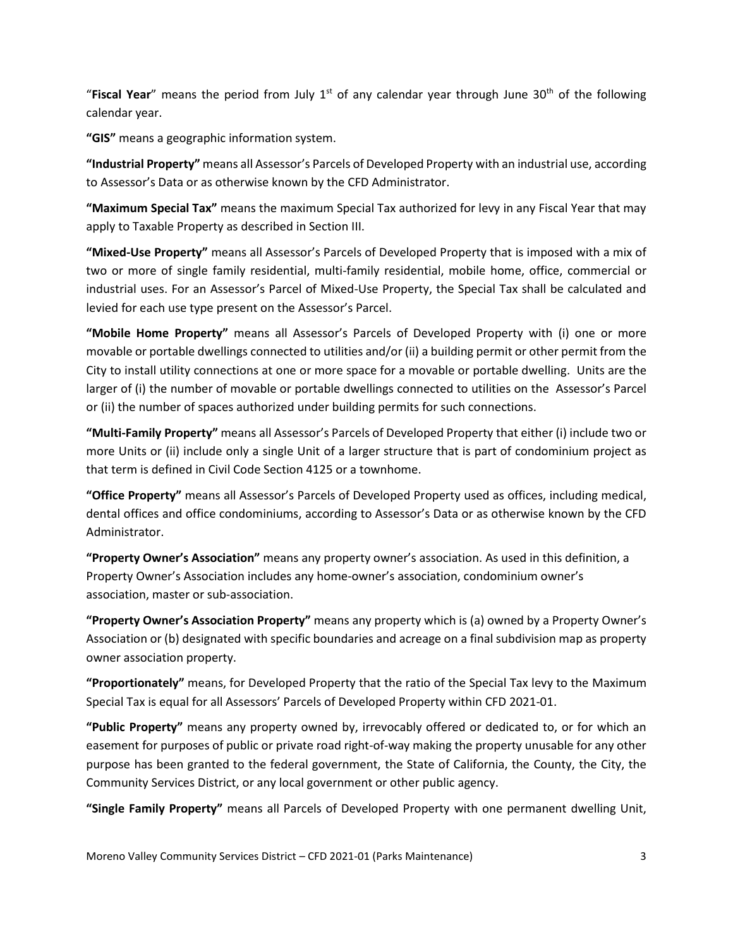"**Fiscal Year**" means the period from July 1st of any calendar year through June 30th of the following calendar year.

**"GIS"** means a geographic information system.

**"Industrial Property"** means all Assessor's Parcels of Developed Property with an industrial use, according to Assessor's Data or as otherwise known by the CFD Administrator.

**"Maximum Special Tax"** means the maximum Special Tax authorized for levy in any Fiscal Year that may apply to Taxable Property as described in Section III.

**"Mixed-Use Property"** means all Assessor's Parcels of Developed Property that is imposed with a mix of two or more of single family residential, multi-family residential, mobile home, office, commercial or industrial uses. For an Assessor's Parcel of Mixed-Use Property, the Special Tax shall be calculated and levied for each use type present on the Assessor's Parcel.

**"Mobile Home Property"** means all Assessor's Parcels of Developed Property with (i) one or more movable or portable dwellings connected to utilities and/or (ii) a building permit or other permit from the City to install utility connections at one or more space for a movable or portable dwelling. Units are the larger of (i) the number of movable or portable dwellings connected to utilities on the Assessor's Parcel or (ii) the number of spaces authorized under building permits for such connections.

**"Multi-Family Property"** means all Assessor's Parcels of Developed Property that either (i) include two or more Units or (ii) include only a single Unit of a larger structure that is part of condominium project as that term is defined in Civil Code Section 4125 or a townhome.

**"Office Property"** means all Assessor's Parcels of Developed Property used as offices, including medical, dental offices and office condominiums, according to Assessor's Data or as otherwise known by the CFD Administrator.

**"Property Owner's Association"** means any property owner's association. As used in this definition, a Property Owner's Association includes any home-owner's association, condominium owner's association, master or sub-association.

**"Property Owner's Association Property"** means any property which is (a) owned by a Property Owner's Association or (b) designated with specific boundaries and acreage on a final subdivision map as property owner association property.

**"Proportionately"** means, for Developed Property that the ratio of the Special Tax levy to the Maximum Special Tax is equal for all Assessors' Parcels of Developed Property within CFD 2021-01.

**"Public Property"** means any property owned by, irrevocably offered or dedicated to, or for which an easement for purposes of public or private road right-of-way making the property unusable for any other purpose has been granted to the federal government, the State of California, the County, the City, the Community Services District, or any local government or other public agency.

**"Single Family Property"** means all Parcels of Developed Property with one permanent dwelling Unit,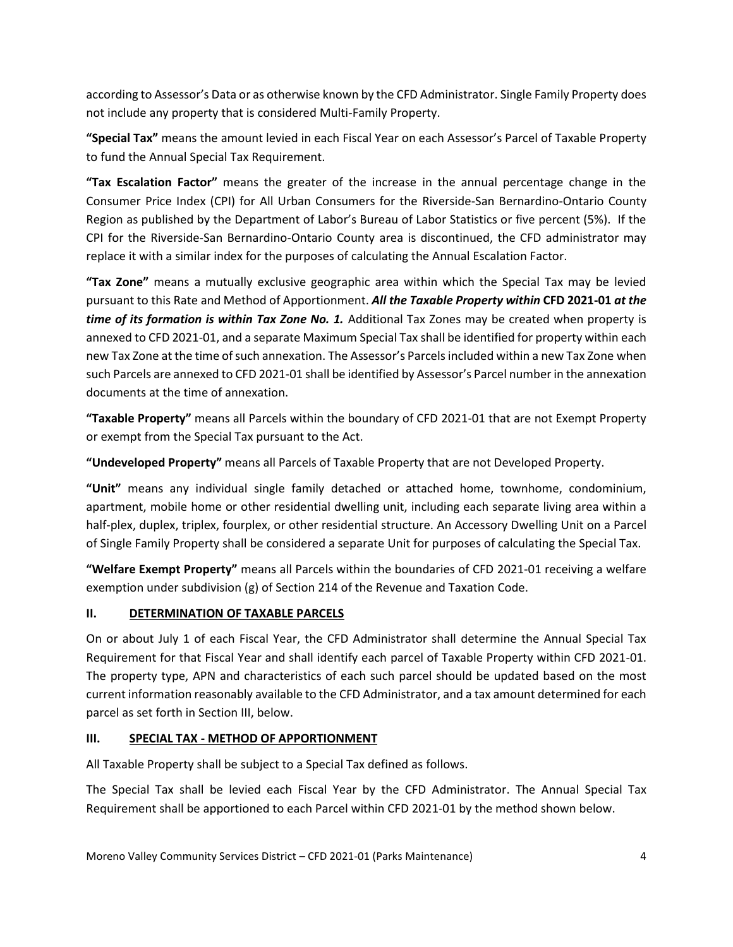according to Assessor's Data or as otherwise known by the CFD Administrator. Single Family Property does not include any property that is considered Multi-Family Property.

**"Special Tax"** means the amount levied in each Fiscal Year on each Assessor's Parcel of Taxable Property to fund the Annual Special Tax Requirement.

**"Tax Escalation Factor"** means the greater of the increase in the annual percentage change in the Consumer Price Index (CPI) for All Urban Consumers for the Riverside-San Bernardino-Ontario County Region as published by the Department of Labor's Bureau of Labor Statistics or five percent (5%). If the CPI for the Riverside-San Bernardino-Ontario County area is discontinued, the CFD administrator may replace it with a similar index for the purposes of calculating the Annual Escalation Factor.

**"Tax Zone"** means a mutually exclusive geographic area within which the Special Tax may be levied pursuant to this Rate and Method of Apportionment. *All the Taxable Property within* **CFD 2021-01** *at the time of its formation is within Tax Zone No. 1.* Additional Tax Zones may be created when property is annexed to CFD 2021-01, and a separate Maximum Special Tax shall be identified for property within each new Tax Zone at the time of such annexation. The Assessor's Parcels included within a new Tax Zone when such Parcels are annexed to CFD 2021-01 shall be identified by Assessor's Parcel number in the annexation documents at the time of annexation.

**"Taxable Property"** means all Parcels within the boundary of CFD 2021-01 that are not Exempt Property or exempt from the Special Tax pursuant to the Act.

**"Undeveloped Property"** means all Parcels of Taxable Property that are not Developed Property.

**"Unit"** means any individual single family detached or attached home, townhome, condominium, apartment, mobile home or other residential dwelling unit, including each separate living area within a half-plex, duplex, triplex, fourplex, or other residential structure. An Accessory Dwelling Unit on a Parcel of Single Family Property shall be considered a separate Unit for purposes of calculating the Special Tax.

**"Welfare Exempt Property"** means all Parcels within the boundaries of CFD 2021-01 receiving a welfare exemption under subdivision (g) of Section 214 of the Revenue and Taxation Code.

# **II. DETERMINATION OF TAXABLE PARCELS**

On or about July 1 of each Fiscal Year, the CFD Administrator shall determine the Annual Special Tax Requirement for that Fiscal Year and shall identify each parcel of Taxable Property within CFD 2021-01. The property type, APN and characteristics of each such parcel should be updated based on the most current information reasonably available to the CFD Administrator, and a tax amount determined for each parcel as set forth in Section III, below.

# **III. SPECIAL TAX - METHOD OF APPORTIONMENT**

All Taxable Property shall be subject to a Special Tax defined as follows.

The Special Tax shall be levied each Fiscal Year by the CFD Administrator. The Annual Special Tax Requirement shall be apportioned to each Parcel within CFD 2021-01 by the method shown below.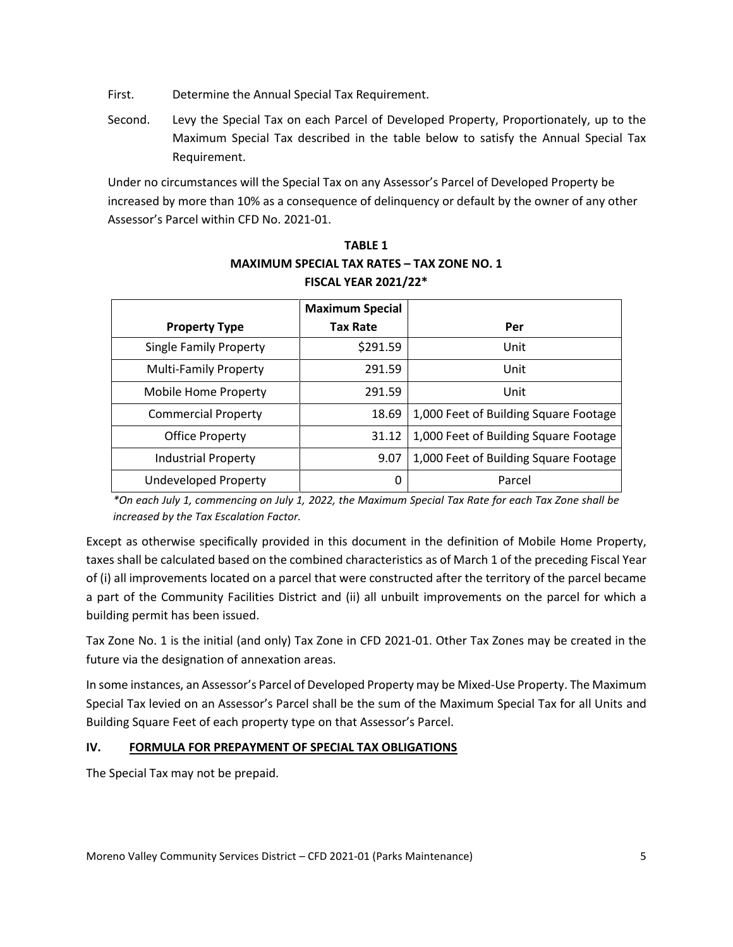First. Determine the Annual Special Tax Requirement.

Second. Levy the Special Tax on each Parcel of Developed Property, Proportionately, up to the Maximum Special Tax described in the table below to satisfy the Annual Special Tax Requirement.

Under no circumstances will the Special Tax on any Assessor's Parcel of Developed Property be increased by more than 10% as a consequence of delinquency or default by the owner of any other Assessor's Parcel within CFD No. 2021-01.

|                               | <b>Maximum Special</b> |                                       |
|-------------------------------|------------------------|---------------------------------------|
| <b>Property Type</b>          | <b>Tax Rate</b>        | Per                                   |
| <b>Single Family Property</b> | \$291.59               | Unit                                  |
| <b>Multi-Family Property</b>  | 291.59                 | Unit                                  |
| Mobile Home Property          | 291.59                 | Unit                                  |
| <b>Commercial Property</b>    | 18.69                  | 1,000 Feet of Building Square Footage |
| <b>Office Property</b>        | 31.12                  | 1,000 Feet of Building Square Footage |
| <b>Industrial Property</b>    | 9.07                   | 1,000 Feet of Building Square Footage |
| <b>Undeveloped Property</b>   | 0                      | Parcel                                |

**TABLE 1 MAXIMUM SPECIAL TAX RATES – TAX ZONE NO. 1 FISCAL YEAR 2021/22\***

*\*On each July 1, commencing on July 1, 2022, the Maximum Special Tax Rate for each Tax Zone shall be increased by the Tax Escalation Factor.*

Except as otherwise specifically provided in this document in the definition of Mobile Home Property, taxes shall be calculated based on the combined characteristics as of March 1 of the preceding Fiscal Year of (i) all improvements located on a parcel that were constructed after the territory of the parcel became a part of the Community Facilities District and (ii) all unbuilt improvements on the parcel for which a building permit has been issued.

Tax Zone No. 1 is the initial (and only) Tax Zone in CFD 2021-01. Other Tax Zones may be created in the future via the designation of annexation areas.

In some instances, an Assessor's Parcel of Developed Property may be Mixed-Use Property. The Maximum Special Tax levied on an Assessor's Parcel shall be the sum of the Maximum Special Tax for all Units and Building Square Feet of each property type on that Assessor's Parcel.

# **IV. FORMULA FOR PREPAYMENT OF SPECIAL TAX OBLIGATIONS**

The Special Tax may not be prepaid.